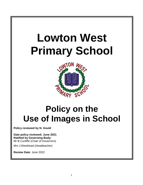# **Lowton West Primary School**



# **Policy on the Use of Images in School**

**Policy reviewed by N. Gould**

**Date policy reviewed: June 2021 Ratified by Governing Body:**  Mr B.Cunliffe (Chair of Governors)

Mrs J.Westhead (Headteacher)

**Review Date**: June 2022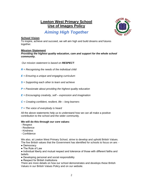### **Lowton West Primary School Use of Images Policy**



# *Aiming High Together*

#### **School Vision**

To inspire, achieve and succeed, we will aim high and build dreams and futures together.

#### **Mission Statement**

*Providing the highest quality education, care and support for the whole school community.*

*Our mission statement is based on RESPECT:*

- *R = Recognising the needs of the individual child*
- *E = Ensuring a unique and engaging curriculum*
- *S = Supporting each other to learn and achieve*
- *P = Passionate about providing the highest quality education*
- *E = Encouraging creativity, self – expression and imagination*
- *C = Creating confident, resilient, life – long learners*
- *T = The voice of everybody is heard*

All the above statements help us to understand how we can all make a positive contribution to the school and the wider community.

#### **We will do this through our core values:**

- Respect
- Resilience
- Kindness
- Confidence

We also, at Lowton West Primary School, strive to develop and uphold British Values. The five British values that the Government has identified for schools to focus on are: -

- Democracy
- The Rule of Law

● Individual liberty and mutual respect and tolerance of those with different faiths and beliefs

- Developing personal and social responsibility
- Respect for British Institutions

There are more details on how our school demonstrates and develops these British Values in our British Values Policy and on our website.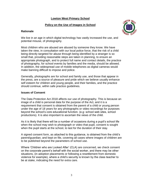#### **Lowton West Primary School**

#### **Policy on the Use of Images in School**

#### **Rationale**



We live in an age in which digital technology has vastly increased the use, and potential misuse, of photography.

Most children who are abused are abused by someone they know. We have taken the view, in consultation with our local police force, that the risk of a child being directly targeted for abuse through being identified by a stranger is so small that, providing reasonable steps are taken in planning, to ensure an appropriate photograph, and to protect full name and contact details, the practice of photography, for school events by families and the media, should be allowed. In addition, the widespread use of mobile telephones as digital cameras would make banning difficult to impose and police.

Generally, photographs are for school and family use, and those that appear in the press, are a source of pleasure and pride which we believe usually enhance self esteem for children and young people, and their families, and the practice should continue, within safe practice guidelines.

#### **Issues of Consent**

The Data Protection Act 2018 affects our use of photography. This is because an image of a child is personal data for the purpose of the Act, and it is a requirement that consent is obtained from the parent of a child or young person under the age of 18 years for any photographs or video recordings for purposes beyond the school's core educational function. (e.g: school web sites, school productions). It is also important to ascertain the views of the child.

As it is likely that there will be a number of occasions during a pupil's school life when the school may wish to photograph or video that pupil, consent is sought when the pupil starts at the school, to last for the duration of their stay.

A signed consent form, as attached to this guidance, is obtained from the child's parent/guardian, and kept on file, covering all cases where images of children are to be published beyond the parameters of school use.

Where 'Children who are Looked After' (CLA) are concerned, we check consent on the corporate parent's behalf with the social worker, and there may be other situations, (in adoption placements or following a resettlement from domestic violence for example), where a child's security is known by the class teacher to be at stake, indicating the need for extra care.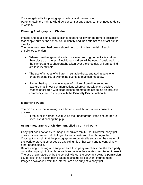Consent gained is for photographs, videos and the website. Parents retain the right to withdraw consent at any stage, but they need to do so in writing.

#### **Planning Photographs of Children**

Images and details of pupils published together allow for the remote possibility that people outside the school could identify and then attempt to contact pupils directly.

The measures described below should help to minimise the risk of such unsolicited attention:

- Where possible, general shots of classrooms or group activities rather than close up pictures of individual children will be used. Consideration of the camera angle; photographs taken over the shoulder, or from behind are less identifiable.
- The use of images of children in suitable dress, and taking care when photographing PE or swimming events to maintain modesty.
- Remembering to include images of children from different ethnic backgrounds in our communications wherever possible and positive images of children with disabilities to promote the school as an inclusive community, and to comply with the Disability Discrimination Act.

#### **Identifying Pupils**

The DFE advise the following, as a broad rule of thumb, where consent is unclear:

• If the pupil is named, avoid using their photograph. If the photograph is used, avoid naming the pupil.

#### **Using Photographs of Children Supplied by a Third Party**

Copyright does not apply to images for private family use. However, copyright does exist in commercial photographs and it rests with the photographer. Copyright is a right that the photographer automatically enjoys as the creator of the work to prevent other people exploiting his or her work and to control how other people use it.

Before using a photograph supplied by a third party we check that the third party owns the copyright in the photograph and obtain their written permission to use it. The use of a photograph by the school, without the copyright owner's permission could result in an action being taken against us for copyright infringement. Images downloaded from the Internet are also subject to copyright.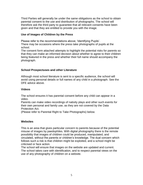Third Parties will generally be under the same obligations as the school to obtain parental consent to the use and distribution of photographs. The school will therefore ask the third party to guarantee that all relevant consents have been given and that they are entitled to provide you with the image.

#### **Use of Images of Children by the Press**

Please refer to the recommendations above; 'Identifying Pupils'.

There may be occasions where the press take photographs of pupils at the school.

The consent form attached attempts to highlight the potential risks for parents so that they can make an informed decision about whether to agree to their children being featured in the press and whether their full name should accompany the photograph.

#### **School Prospectuses and other Literature**

Although most school literature is sent to a specific audience, the school will avoid using personal details or full names of any child in a photograph. See the DFE advice above.

#### **Videos**

The school ensures it has parental consent before any child can appear in a video.

Parents can make video recordings of nativity plays and other such events for their own personal and family use, as they are not covered by the Data Protection Act.

(Please refer to Parental Right to Take Photographs) below.

#### **Websites**

This is an area that gives particular concern to parents because of the potential misuse of images by paedophiles. With digital photography there is the remote possibility that images of children could be produced, manipulated, and circulated, without the parents or children's knowledge. The dual concern which follows such a risk is that children might be exploited, and a school might be criticised or face action.

The school will ensure that images on the website are updated and current. The school takes care with identification, and to respect parental views on the use of any photography of children on a website.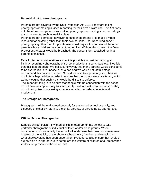#### **Parental right to take photographs**

Parents are not covered by the Data Protection Act 2018 if they are taking photographs or making a video recording for their own private use. The Act does not, therefore, stop parents from taking photographs or making video recordings at school events, such as nativity plays*.*

Parents are not permitted, however, to take photographs or to make a video recording for anything other than their own personal use. Recording and/or photographing other than for private use would require the consent of the other parents whose children may be captured on film. Without this consent the Data Protection Act 2018 would be breached. The consent form attached reminds parents of this fact.

Data Protection considerations aside, it is possible to consider banning all filming/ recording / photography of school productions, sports days etc. if we felt that this is appropriate. We believe, however, that many parents would consider it to be overcautious to impose such a ban and we would not, at this stage, recommend this course of action. Should we wish to impose any such ban we would take legal advice in order to ensure that the correct steps are taken, whilst acknowledging that such a ban would be difficult to enforce.

The important thing is to be sure that people with no connection with the school do not have any opportunity to film covertly. Staff are asked to quiz anyone they do not recognise who is using a camera or video recorder at events and productions.

#### **The Storage of Photographs**

Photographs will be maintained securely for authorised school use only, and disposed of either by return to the child, parents, or shredding as appropriate.

#### **Official School Photographs**

Schools will periodically invite an official photographer into school to take portraits/ photographs of individual children and/or class groups. When considering such an activity the school will undertake their own risk assessment in terms of the validity of the photographer/agency involved and establishing what checks/vetting has been undertaken. Procedures also ensure that levels of supervision are appropriate to safeguard the welfare of children at all times when visitors are present on the school site.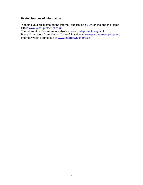#### **Useful Sources of Information**

'Keeping your child safe on the internet' publication by UK online and the Home Office www.wiseuptothenet.co.uk

The Information Commission website at www.dataprotection.gov.uk

Press Complaints Commission Code of Practice at www.pcc.org.uk/cop/cop.asp Internet Watch Foundation at [www.internetwatch.org.uk](http://www.internetwatch.org.uk/)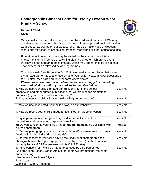## **Photographic Consent Form for Use by Lowton West Primary School**



| <b>Name of Child:</b> |  |
|-----------------------|--|
| Class:                |  |

Occasionally, we may take photographs of the children at our school. We may use these images in our school's prospectus or in other printed publications that we produce, as well as on our website. We may also make video or webcam recordings for school-to-school conferences, monitoring or other educational use.

From time to time, our school may be visited by the media who will take photographs or film footage of a visiting dignitary or other high profile event. Pupils will often appear in these images, which may appear in local or national newspapers, or on televised news programmes.

To comply with Data Protection Act 2018, we need your permission before we can photograph or make any recordings of your child. Please answer questions 1 to 10 below, then sign and date the form where shown.

#### *Please circle your answer or delete the text accordingly (if completing electronically) to confirm your choices in the table below.*

| 1. May we use your child's photograph (unidentified) in the school                                                                                                                                                                                              | Yes / No |
|-----------------------------------------------------------------------------------------------------------------------------------------------------------------------------------------------------------------------------------------------------------------|----------|
| prospectus and other printed publications that we produce for promotional                                                                                                                                                                                       |          |
| purposes (eg banners, posters, newsletters)?                                                                                                                                                                                                                    |          |
| 2. May we use your child's image (unidentified) on our website?                                                                                                                                                                                                 | Yes / No |
| 3. May we use, if selected, your child's work on our website?                                                                                                                                                                                                   | Yes / No |
| 4. May we record your child's image (unidentified) on video or webcam?                                                                                                                                                                                          | Yes / No |
| 5. I give permission for images of my child to be published in local<br>magazines and press photographs (unidentified).                                                                                                                                         | Yes / No |
| 5B Do you consent to your child's image and full name being published with<br>a press photograph?                                                                                                                                                               | Yes/No   |
| 6. May we photograph your child for curricular and/ or assessment purposes<br>(workbooks/ school trips/ display boards)?                                                                                                                                        | Yes / No |
| 7. Do you consent to your child having their individual photograph/class<br>photograph taken by a photographer chosen by school (the third party we<br>currently have a GDPR agreement with is K & S Roake).                                                    | Yes / No |
| 8. I give consent for my child's image to be used by third parties (eg.<br>Golborne High School, Wigan Athletic) for their own promotional materials<br>and marketing:<br>Newsletters / brochures / flyers<br><b>Prospectus</b><br>Website / Twitter / Facebook | Yes / No |